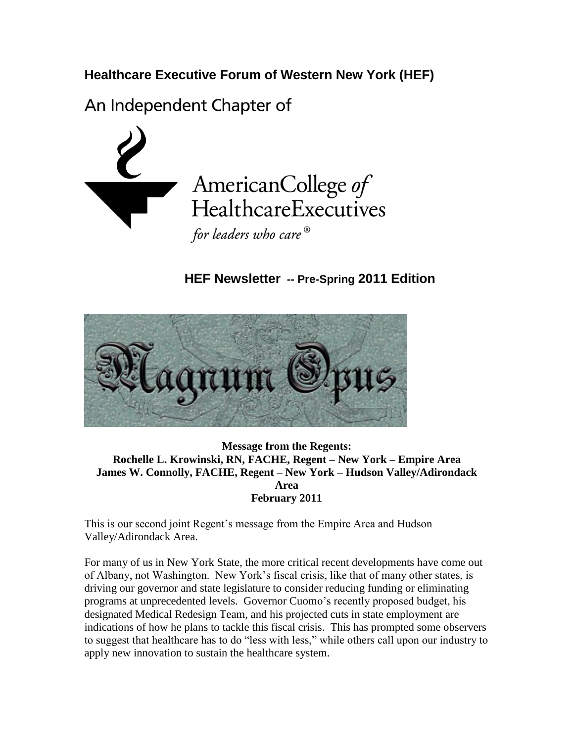**Healthcare Executive Forum of Western New York (HEF)**

An Independent Chapter of



 **HEF Newsletter -- Pre-Spring 2011 Edition**



**Message from the Regents: Rochelle L. Krowinski, RN, FACHE, Regent – New York – Empire Area James W. Connolly, FACHE, Regent – New York – Hudson Valley/Adirondack Area February 2011**

This is our second joint Regent's message from the Empire Area and Hudson Valley/Adirondack Area.

For many of us in New York State, the more critical recent developments have come out of Albany, not Washington. New York's fiscal crisis, like that of many other states, is driving our governor and state legislature to consider reducing funding or eliminating programs at unprecedented levels. Governor Cuomo's recently proposed budget, his designated Medical Redesign Team, and his projected cuts in state employment are indications of how he plans to tackle this fiscal crisis. This has prompted some observers to suggest that healthcare has to do "less with less," while others call upon our industry to apply new innovation to sustain the healthcare system.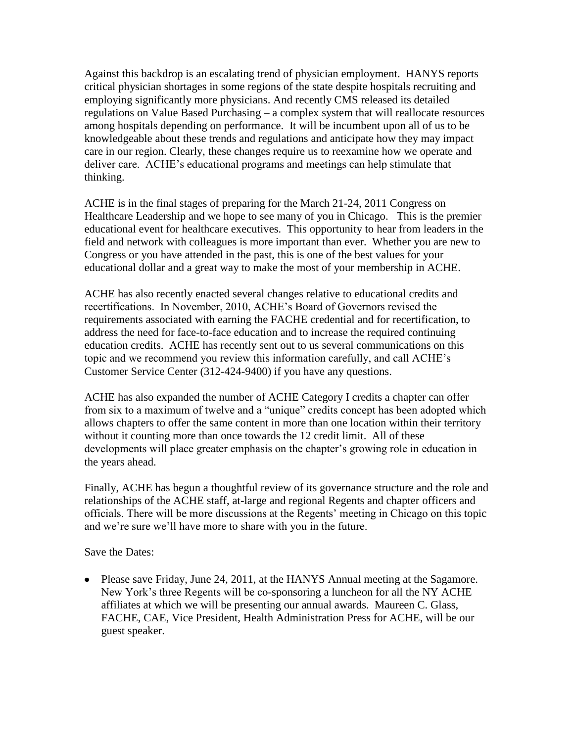Against this backdrop is an escalating trend of physician employment. HANYS reports critical physician shortages in some regions of the state despite hospitals recruiting and employing significantly more physicians. And recently CMS released its detailed regulations on Value Based Purchasing – a complex system that will reallocate resources among hospitals depending on performance. It will be incumbent upon all of us to be knowledgeable about these trends and regulations and anticipate how they may impact care in our region. Clearly, these changes require us to reexamine how we operate and deliver care. ACHE's educational programs and meetings can help stimulate that thinking.

ACHE is in the final stages of preparing for the March 21-24, 2011 Congress on Healthcare Leadership and we hope to see many of you in Chicago. This is the premier educational event for healthcare executives. This opportunity to hear from leaders in the field and network with colleagues is more important than ever. Whether you are new to Congress or you have attended in the past, this is one of the best values for your educational dollar and a great way to make the most of your membership in ACHE.

ACHE has also recently enacted several changes relative to educational credits and recertifications. In November, 2010, ACHE's Board of Governors revised the requirements associated with earning the FACHE credential and for recertification, to address the need for face-to-face education and to increase the required continuing education credits. ACHE has recently sent out to us several communications on this topic and we recommend you review this information carefully, and call ACHE's Customer Service Center (312-424-9400) if you have any questions.

ACHE has also expanded the number of ACHE Category I credits a chapter can offer from six to a maximum of twelve and a "unique" credits concept has been adopted which allows chapters to offer the same content in more than one location within their territory without it counting more than once towards the 12 credit limit. All of these developments will place greater emphasis on the chapter's growing role in education in the years ahead.

Finally, ACHE has begun a thoughtful review of its governance structure and the role and relationships of the ACHE staff, at-large and regional Regents and chapter officers and officials. There will be more discussions at the Regents' meeting in Chicago on this topic and we're sure we'll have more to share with you in the future.

Save the Dates:

• Please save Friday, June 24, 2011, at the HANYS Annual meeting at the Sagamore. New York's three Regents will be co-sponsoring a luncheon for all the NY ACHE affiliates at which we will be presenting our annual awards. Maureen C. Glass, FACHE, CAE, Vice President, Health Administration Press for ACHE, will be our guest speaker.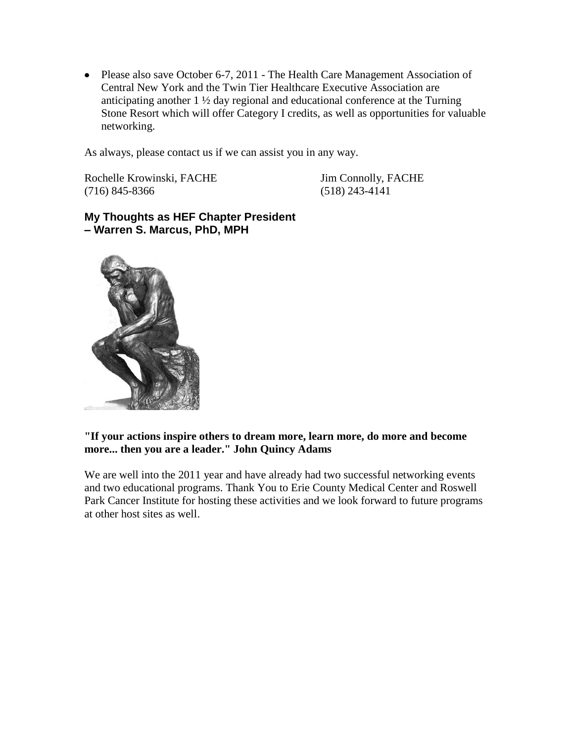• Please also save October 6-7, 2011 - The Health Care Management Association of Central New York and the Twin Tier Healthcare Executive Association are anticipating another 1 ½ day regional and educational conference at the Turning Stone Resort which will offer Category I credits, as well as opportunities for valuable networking.

As always, please contact us if we can assist you in any way.

Rochelle Krowinski, FACHE Jim Connolly, FACHE (716) 845-8366 (518) 243-4141

**My Thoughts as HEF Chapter President – Warren S. Marcus, PhD, MPH**



#### **"If your actions inspire others to dream more, learn more, do more and become more... then you are a leader." John Quincy Adams**

We are well into the 2011 year and have already had two successful networking events and two educational programs. Thank You to Erie County Medical Center and Roswell Park Cancer Institute for hosting these activities and we look forward to future programs at other host sites as well.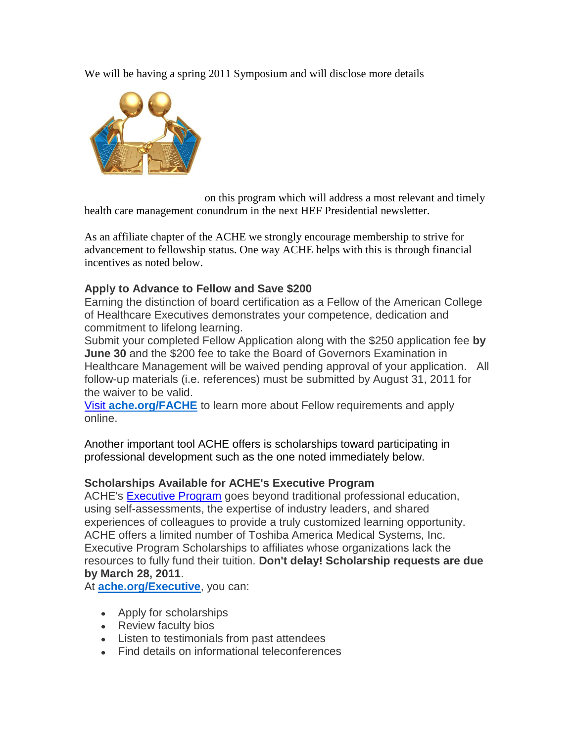We will be having a spring 2011 Symposium and will disclose more details



on this program which will address a most relevant and timely health care management conundrum in the next HEF Presidential newsletter.

As an affiliate chapter of the ACHE we strongly encourage membership to strive for advancement to fellowship status. One way ACHE helps with this is through financial incentives as noted below.

## **Apply to Advance to Fellow and Save \$200**

Earning the distinction of board certification as a Fellow of the American College of Healthcare Executives demonstrates your competence, dedication and commitment to lifelong learning.

Submit your completed Fellow Application along with the \$250 application fee **by June 30** and the \$200 fee to take the Board of Governors Examination in Healthcare Management will be waived pending approval of your application. All follow-up materials (i.e. references) must be submitted by August 31, 2011 for the waiver to be valid.

Visit **[ache.org/FACHE](http://www.mmsend53.com/link.cfm?r=284884120&sid=12524088&m=1251470&u=ACHE&s=http://www.ache.org/mbership/credentialing/credentialing.cfm?utm_source=real%20magnet&utm_medium=email&utm_term=wsmarcus@roadrunner.com&utm_content=ACHe-news%20-%203/3/11&utm_campaign=ACHe-news%20-%20March%203,%202011)** to learn more about Fellow requirements and apply online.

Another important tool ACHE offers is scholarships toward participating in professional development such as the one noted immediately below.

### **Scholarships Available for ACHE's Executive Program**

ACHE's [Executive Program](http://www.mmsend53.com/link.cfm?r=284884120&sid=12524089&m=1251470&u=ACHE&s=http://www.ache.org/Executive?utm_source=real%20magnet&utm_medium=email&utm_term=wsmarcus@roadrunner.com&utm_content=ACHe-news%20-%203/3/11&utm_campaign=ACHe-news%20-%20March%203,%202011) goes beyond traditional professional education, using self-assessments, the expertise of industry leaders, and shared experiences of colleagues to provide a truly customized learning opportunity. ACHE offers a limited number of Toshiba America Medical Systems, Inc. Executive Program Scholarships to affiliates whose organizations lack the resources to fully fund their tuition. **Don't delay! Scholarship requests are due by March 28, 2011**.

At **[ache.org/Executive](http://www.mmsend53.com/link.cfm?r=284884120&sid=12524090&m=1251470&u=ACHE&s=http://www.ache.org/Executive?utm_source=real%20magnet&utm_medium=email&utm_term=wsmarcus@roadrunner.com&utm_content=ACHe-news%20-%203/3/11&utm_campaign=ACHe-news%20-%20March%203,%202011)**, you can:

- Apply for scholarships
- Review faculty bios
- Listen to testimonials from past attendees
- Find details on informational teleconferences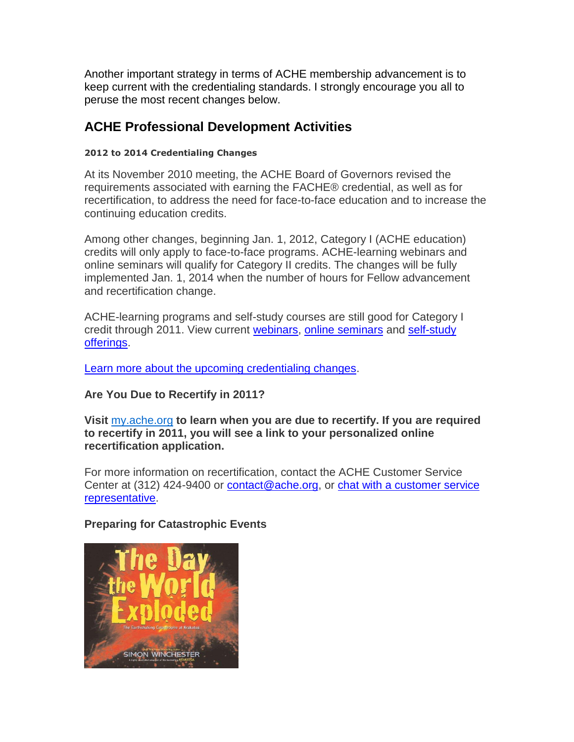Another important strategy in terms of ACHE membership advancement is to keep current with the credentialing standards. I strongly encourage you all to peruse the most recent changes below.

# **ACHE Professional Development Activities**

## **2012 to 2014 Credentialing Changes**

At its November 2010 meeting, the ACHE Board of Governors revised the requirements associated with earning the FACHE® credential, as well as for recertification, to address the need for face-to-face education and to increase the continuing education credits.

Among other changes, beginning Jan. 1, 2012, Category I (ACHE education) credits will only apply to face-to-face programs. ACHE-learning webinars and online seminars will qualify for Category II credits. The changes will be fully implemented Jan. 1, 2014 when the number of hours for Fellow advancement and recertification change.

ACHE-learning programs and self-study courses are still good for Category I credit through 2011. View current [webinars,](http://www.mmsend53.com/link.cfm?r=284884120&sid=12169925&m=1225213&u=ACHE&s=http://www.ache.org/SEMINARS/webinar_index.cfm?utm_source=real%20magnet&utm_medium=email&utm_term=wsmarcus@roadrunner.com&utm_content=ACHe-news%20-%202/3/11&utm_campaign=ACHe-news%20-%20Credentialing%20Changes%20-%20February%203,%202011) [online seminars](http://www.mmsend53.com/link.cfm?r=284884120&sid=12169926&m=1225213&u=ACHE&s=http://www.ache.org/SEMINARS/online_index.cfm?utm_source=real%20magnet&utm_medium=email&utm_term=wsmarcus@roadrunner.com&utm_content=ACHe-news%20-%202/3/11&utm_campaign=ACHe-news%20-%20Credentialing%20Changes%20-%20February%203,%202011) and [self-study](http://www.mmsend53.com/link.cfm?r=284884120&sid=12169927&m=1225213&u=ACHE&s=http://www.ache.org/PUBS/redesign/SELFSTUDy.cfm?utm_source=real%20magnet&utm_medium=email&utm_term=wsmarcus@roadrunner.com&utm_content=ACHe-news%20-%202/3/11&utm_campaign=ACHe-news%20-%20Credentialing%20Changes%20-%20February%203,%202011)  [offerings.](http://www.mmsend53.com/link.cfm?r=284884120&sid=12169927&m=1225213&u=ACHE&s=http://www.ache.org/PUBS/redesign/SELFSTUDy.cfm?utm_source=real%20magnet&utm_medium=email&utm_term=wsmarcus@roadrunner.com&utm_content=ACHe-news%20-%202/3/11&utm_campaign=ACHe-news%20-%20Credentialing%20Changes%20-%20February%203,%202011)

[Learn more about the upcoming credentialing changes.](http://www.mmsend53.com/link.cfm?r=284884120&sid=12169928&m=1225213&u=ACHE&s=http://www.ache.org/mbership/credentialing/changes_2012_2014.cfm?utm_source=real%20magnet&utm_medium=email&utm_term=wsmarcus@roadrunner.com&utm_content=ACHe-news%20-%202/3/11&utm_campaign=ACHe-news%20-%20Credentialing%20Changes%20-%20February%203,%202011)

## **Are You Due to Recertify in 2011?**

**Visit** [my.ache.org](http://www.mmsend53.com/link.cfm?r=284884120&sid=12348077&m=1238407&u=ACHE&s=http://my.ache.org/?utm_source=real%20magnet&utm_medium=email&utm_term=wsmarcus@roadrunner.com&utm_content=ACHe-news%20-%202/17/11&utm_campaign=ACHe-news%20-%20February%2017,%202011) **to learn when you are due to recertify. If you are required to recertify in 2011, you will see a link to your personalized online recertification application.** 

For more information on recertification, contact the ACHE Customer Service Center at (312) 424-9400 or [contact@ache.org,](mailto:contact@ache.org) or [chat with a customer service](http://www.mmsend53.com/link.cfm?r=284884120&sid=12348078&m=1238407&u=ACHE&s=https://server.iad.liveperson.net/hc/54529878/?cmd=file&file=visitorWantsToChat&site=54529878&SV!skill=Customer%20Service%20Center&SV!=http%3A//www.ache.org/newclub/myache/myache_launch.cfm&referrer=http%3A//www.ache.org/newclub/myache/myache_launch.cfm&ut&utm_source=real%20magnet&utm_medium=email&utm_term=branallo@ache.org&utm_content=Congress%20-%20short%20credits%20-%202/14/11&utm_campaign=Your%20ACHE%20Congress%20Registration%20May%20Be%20Incomplete&utm_source=real%20magnet&utm_medium=email&utm_term=wsmarcus@roadrunner.com&utm_content=ACHe-news%20-%202/17/11&utm_campaign=ACHe-news%20-%20February%2017,%202011)  [representative.](http://www.mmsend53.com/link.cfm?r=284884120&sid=12348078&m=1238407&u=ACHE&s=https://server.iad.liveperson.net/hc/54529878/?cmd=file&file=visitorWantsToChat&site=54529878&SV!skill=Customer%20Service%20Center&SV!=http%3A//www.ache.org/newclub/myache/myache_launch.cfm&referrer=http%3A//www.ache.org/newclub/myache/myache_launch.cfm&ut&utm_source=real%20magnet&utm_medium=email&utm_term=branallo@ache.org&utm_content=Congress%20-%20short%20credits%20-%202/14/11&utm_campaign=Your%20ACHE%20Congress%20Registration%20May%20Be%20Incomplete&utm_source=real%20magnet&utm_medium=email&utm_term=wsmarcus@roadrunner.com&utm_content=ACHe-news%20-%202/17/11&utm_campaign=ACHe-news%20-%20February%2017,%202011)

## **Preparing for Catastrophic Events**

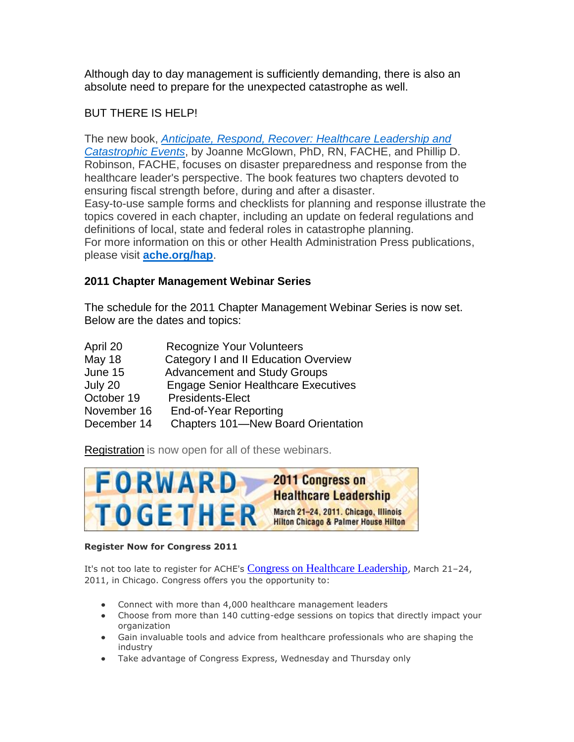Although day to day management is sufficiently demanding, there is also an absolute need to prepare for the unexpected catastrophe as well.

## BUT THERE IS HELP!

The new book, *[Anticipate, Respond, Recover: Healthcare Leadership and](http://www.mmsend53.com/link.cfm?r=284884120&sid=12524092&m=1251470&u=ACHE&s=http://www.ache.org/pubs/redesign/productcatalog.cfm?pc=WWW1-2168&utm_source=real%20magnet&utm_medium=email&utm_term=wsmarcus@roadrunner.com&utm_content=ACHe-news%20-%203/3/11&utm_campaign=ACHe-news%20-%20March%203,%202011)  [Catastrophic Events](http://www.mmsend53.com/link.cfm?r=284884120&sid=12524092&m=1251470&u=ACHE&s=http://www.ache.org/pubs/redesign/productcatalog.cfm?pc=WWW1-2168&utm_source=real%20magnet&utm_medium=email&utm_term=wsmarcus@roadrunner.com&utm_content=ACHe-news%20-%203/3/11&utm_campaign=ACHe-news%20-%20March%203,%202011)*, by Joanne McGlown, PhD, RN, FACHE, and Phillip D. Robinson, FACHE, focuses on disaster preparedness and response from the healthcare leader's perspective. The book features two chapters devoted to ensuring fiscal strength before, during and after a disaster. Easy-to-use sample forms and checklists for planning and response illustrate the topics covered in each chapter, including an update on federal regulations and definitions of local, state and federal roles in catastrophe planning. For more information on this or other Health Administration Press publications, please visit **[ache.org/hap](http://www.mmsend53.com/link.cfm?r=284884120&sid=12524093&m=1251470&u=ACHE&s=http://www.ache.org/hap.cfm?utm_source=real%20magnet&utm_medium=email&utm_term=wsmarcus@roadrunner.com&utm_content=ACHe-news%20-%203/3/11&utm_campaign=ACHe-news%20-%20March%203,%202011)**.

## **2011 Chapter Management Webinar Series**

The schedule for the 2011 Chapter Management Webinar Series is now set. Below are the dates and topics:

| April 20    | <b>Recognize Your Volunteers</b>           |
|-------------|--------------------------------------------|
| May 18      | Category I and II Education Overview       |
| June 15     | <b>Advancement and Study Groups</b>        |
| July 20     | <b>Engage Senior Healthcare Executives</b> |
| October 19  | <b>Presidents-Elect</b>                    |
| November 16 | End-of-Year Reporting                      |
| December 14 | <b>Chapters 101-New Board Orientation</b>  |

[Registration](http://newsmanager.commpartners.com/linktrack.php?url=http%3A%2F%2Fwww.ache.org%2Fchapters%2FERegistration%2Fchapter_audio.cfm) is now open for all of these webinars.



#### **Register Now for Congress 2011**

It's not too late to register for ACHE's [Congress on Healthcare Leadership](http://www.mmsend53.com/link.cfm?r=284884120&sid=12348074&m=1238407&u=ACHE&s=http://www.ache.org/Congress?utm_source=real%20magnet&utm_medium=email&utm_term=wsmarcus@roadrunner.com&utm_content=ACHe-news%20-%202/17/11&utm_campaign=ACHe-news%20-%20February%2017,%202011), March 21-24, 2011, in Chicago. Congress offers you the opportunity to:

- Connect with more than 4,000 healthcare management leaders
- Choose from more than 140 cutting-edge sessions on topics that directly impact your organization
- Gain invaluable tools and advice from healthcare professionals who are shaping the industry
- Take advantage of Congress Express, Wednesday and Thursday only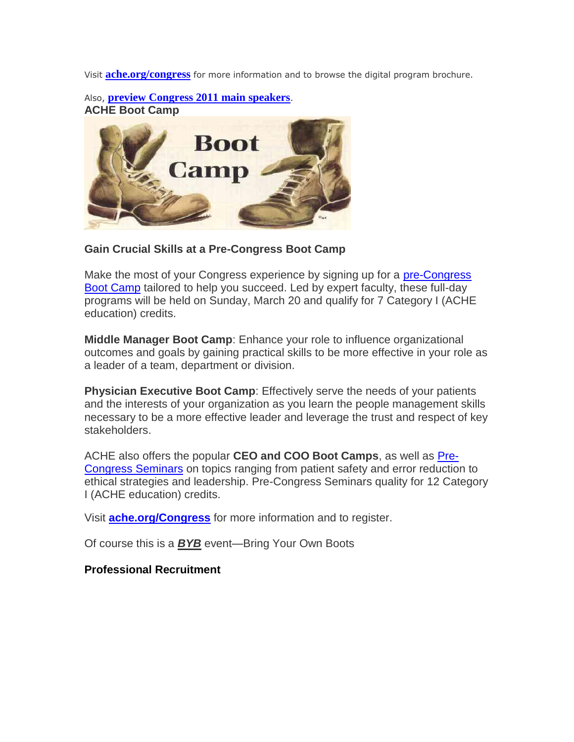Visit **[ache.org/congress](http://www.mmsend53.com/link.cfm?r=284884120&sid=12348075&m=1238407&u=ACHE&s=http://www.ache.org/Congress?utm_source=real%20magnet&utm_medium=email&utm_term=wsmarcus@roadrunner.com&utm_content=ACHe-news%20-%202/17/11&utm_campaign=ACHe-news%20-%20February%2017,%202011)** for more information and to browse the digital program brochure.

Also, **[preview Congress 2011 main speakers](http://www.mmsend53.com/link.cfm?r=284884120&sid=12348076&m=1238407&u=ACHE&s=http://www.ache.org/seminars/congress_audios/congress2011PromoVideos.cfm?utm_source=real%20magnet&utm_medium=email&utm_term=wsmarcus@roadrunner.com&utm_content=ACHe-news%20-%202/17/11&utm_campaign=ACHe-news%20-%20February%2017,%202011)**. **ACHE Boot Camp**



**Gain Crucial Skills at a Pre-Congress Boot Camp**

Make the most of your Congress experience by signing up for a [pre-Congress](http://www.mmsend53.com/link.cfm?r=284884120&sid=12169929&m=1225213&u=ACHE&s=http://www.ache.org/Congress/Precongress.cfm?utm_source=real%20magnet&utm_medium=email&utm_term=wsmarcus@roadrunner.com&utm_content=ACHe-news%20-%202/3/11&utm_campaign=ACHe-news%20-%20Credentialing%20Changes%20-%20February%203,%202011)  [Boot Camp](http://www.mmsend53.com/link.cfm?r=284884120&sid=12169929&m=1225213&u=ACHE&s=http://www.ache.org/Congress/Precongress.cfm?utm_source=real%20magnet&utm_medium=email&utm_term=wsmarcus@roadrunner.com&utm_content=ACHe-news%20-%202/3/11&utm_campaign=ACHe-news%20-%20Credentialing%20Changes%20-%20February%203,%202011) tailored to help you succeed. Led by expert faculty, these full-day programs will be held on Sunday, March 20 and qualify for 7 Category I (ACHE education) credits.

**Middle Manager Boot Camp**: Enhance your role to influence organizational outcomes and goals by gaining practical skills to be more effective in your role as a leader of a team, department or division.

**Physician Executive Boot Camp**: Effectively serve the needs of your patients and the interests of your organization as you learn the people management skills necessary to be a more effective leader and leverage the trust and respect of key stakeholders.

ACHE also offers the popular **CEO and COO Boot Camps**, as well as [Pre-](http://www.mmsend53.com/link.cfm?r=284884120&sid=12169930&m=1225213&u=ACHE&s=http://www.ache.org/Congress/Precongress.cfm?utm_source=real%20magnet&utm_medium=email&utm_term=wsmarcus@roadrunner.com&utm_content=ACHe-news%20-%202/3/11&utm_campaign=ACHe-news%20-%20Credentialing%20Changes%20-%20February%203,%202011)[Congress Seminars](http://www.mmsend53.com/link.cfm?r=284884120&sid=12169930&m=1225213&u=ACHE&s=http://www.ache.org/Congress/Precongress.cfm?utm_source=real%20magnet&utm_medium=email&utm_term=wsmarcus@roadrunner.com&utm_content=ACHe-news%20-%202/3/11&utm_campaign=ACHe-news%20-%20Credentialing%20Changes%20-%20February%203,%202011) on topics ranging from patient safety and error reduction to ethical strategies and leadership. Pre-Congress Seminars quality for 12 Category I (ACHE education) credits.

Visit **[ache.org/Congress](http://www.mmsend53.com/link.cfm?r=284884120&sid=12169931&m=1225213&u=ACHE&s=http://www.ache.org/Congress/Precongress.cfm?utm_source=real%20magnet&utm_medium=email&utm_term=wsmarcus@roadrunner.com&utm_content=ACHe-news%20-%202/3/11&utm_campaign=ACHe-news%20-%20Credentialing%20Changes%20-%20February%203,%202011)** for more information and to register.

Of course this is a *BYB* event—Bring Your Own Boots

**Professional Recruitment**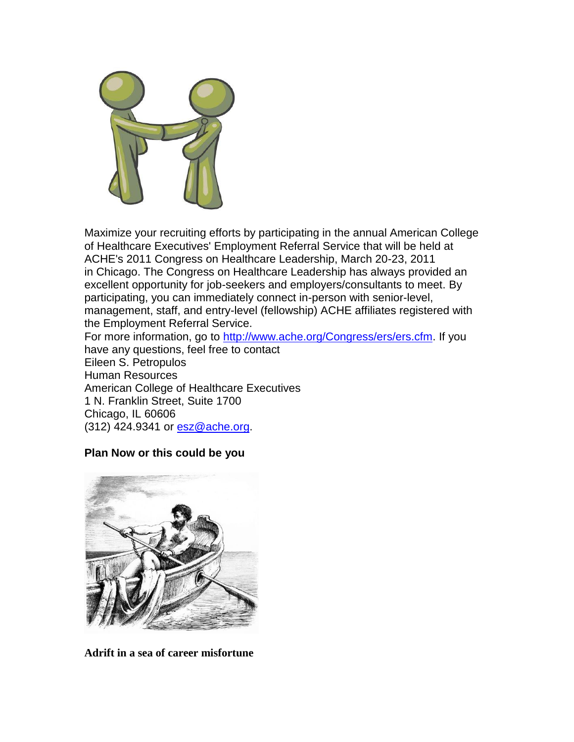

Maximize your recruiting efforts by participating in the annual American College of Healthcare Executives' Employment Referral Service that will be held at ACHE's 2011 Congress on Healthcare Leadership, March 20-23, 2011 in Chicago. The Congress on Healthcare Leadership has always provided an excellent opportunity for job-seekers and employers/consultants to meet. By participating, you can immediately connect in-person with senior-level, management, staff, and entry-level (fellowship) ACHE affiliates registered with the Employment Referral Service.

For more information, go to [http://www.ache.org/Congress/ers/ers.cfm.](http://www.ache.org/Congress/ers/ers.cfm) If you have any questions, feel free to contact Eileen S. Petropulos Human Resources American College of Healthcare Executives 1 N. Franklin Street, Suite 1700 Chicago, IL 60606 (312) 424.9341 or [esz@ache.org.](mailto:esz@ache.org)

### **Plan Now or this could be you**



**Adrift in a sea of career misfortune**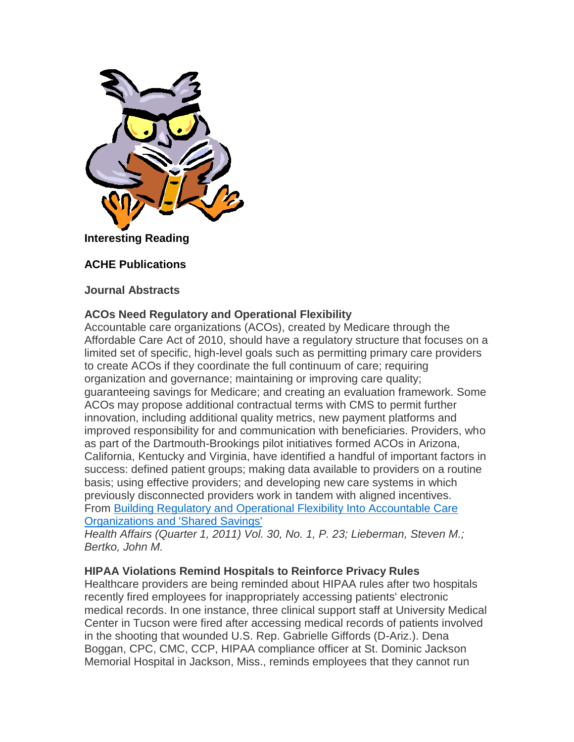

# **Interesting Reading**

## **ACHE Publications**

#### **Journal Abstracts**

### **ACOs Need Regulatory and Operational Flexibility**

Accountable care organizations (ACOs), created by Medicare through the Affordable Care Act of 2010, should have a regulatory structure that focuses on a limited set of specific, high-level goals such as permitting primary care providers to create ACOs if they coordinate the full continuum of care; requiring organization and governance; maintaining or improving care quality; guaranteeing savings for Medicare; and creating an evaluation framework. Some ACOs may propose additional contractual terms with CMS to permit further innovation, including additional quality metrics, new payment platforms and improved responsibility for and communication with beneficiaries. Providers, who as part of the Dartmouth-Brookings pilot initiatives formed ACOs in Arizona, California, Kentucky and Virginia, have identified a handful of important factors in success: defined patient groups; making data available to providers on a routine basis; using effective providers; and developing new care systems in which previously disconnected providers work in tandem with aligned incentives. From [Building Regulatory and Operational Flexibility Into Accountable Care](http://www.mmsend53.com/link.cfm?r=284884120&sid=12342561&m=1238407&u=ACHE&s=http://content.healthaffairs.org/content/30/1/23)  [Organizations and 'Shared Savings'](http://www.mmsend53.com/link.cfm?r=284884120&sid=12342561&m=1238407&u=ACHE&s=http://content.healthaffairs.org/content/30/1/23)

*Health Affairs (Quarter 1, 2011) Vol. 30, No. 1, P. 23; Lieberman, Steven M.; Bertko, John M.*

### **HIPAA Violations Remind Hospitals to Reinforce Privacy Rules**

Healthcare providers are being reminded about HIPAA rules after two hospitals recently fired employees for inappropriately accessing patients' electronic medical records. In one instance, three clinical support staff at University Medical Center in Tucson were fired after accessing medical records of patients involved in the shooting that wounded U.S. Rep. Gabrielle Giffords (D-Ariz.). Dena Boggan, CPC, CMC, CCP, HIPAA compliance officer at St. Dominic Jackson Memorial Hospital in Jackson, Miss., reminds employees that they cannot run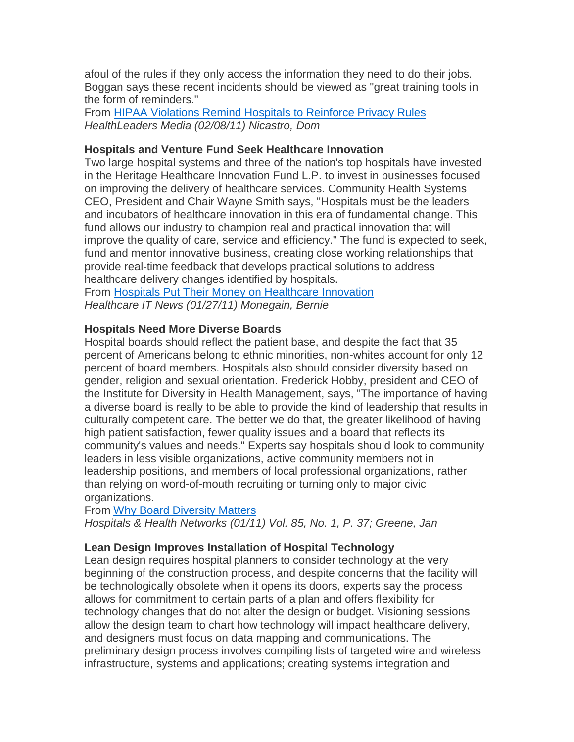afoul of the rules if they only access the information they need to do their jobs. Boggan says these recent incidents should be viewed as "great training tools in the form of reminders."

From [HIPAA Violations Remind Hospitals to Reinforce Privacy Rules](http://www.mmsend53.com/link.cfm?r=284884120&sid=12342566&m=1238407&u=ACHE&s=http://www.healthleadersmedia.com/content/TEC-262302/HIPAA-Violations-Remind-Hospitals-to-Reinforce-Privacy-Rules) *HealthLeaders Media (02/08/11) Nicastro, Dom*

## **Hospitals and Venture Fund Seek Healthcare Innovation**

Two large hospital systems and three of the nation's top hospitals have invested in the Heritage Healthcare Innovation Fund L.P. to invest in businesses focused on improving the delivery of healthcare services. Community Health Systems CEO, President and Chair Wayne Smith says, "Hospitals must be the leaders and incubators of healthcare innovation in this era of fundamental change. This fund allows our industry to champion real and practical innovation that will improve the quality of care, service and efficiency." The fund is expected to seek, fund and mentor innovative business, creating close working relationships that provide real-time feedback that develops practical solutions to address healthcare delivery changes identified by hospitals.

From [Hospitals Put Their Money on Healthcare Innovation](http://www.mmsend53.com/link.cfm?r=284884120&sid=12166627&m=1225213&u=ACHE&s=http://www.healthcareitnews.com/news/hospitals-put-their-money-healthcare-innovation) *Healthcare IT News (01/27/11) Monegain, Bernie*

## **Hospitals Need More Diverse Boards**

Hospital boards should reflect the patient base, and despite the fact that 35 percent of Americans belong to ethnic minorities, non-whites account for only 12 percent of board members. Hospitals also should consider diversity based on gender, religion and sexual orientation. Frederick Hobby, president and CEO of the Institute for Diversity in Health Management, says, "The importance of having a diverse board is really to be able to provide the kind of leadership that results in culturally competent care. The better we do that, the greater likelihood of having high patient satisfaction, fewer quality issues and a board that reflects its community's values and needs." Experts say hospitals should look to community leaders in less visible organizations, active community members not in leadership positions, and members of local professional organizations, rather than relying on word-of-mouth recruiting or turning only to major civic organizations.

From [Why Board Diversity Matters](http://www.mmsend53.com/link.cfm?r=284884120&sid=12166635&m=1225213&u=ACHE&s=http://www.hhnmag.com/hhnmag_app/jsp/articledisplay.jsp?dcrpath=HHNMAG/Article/data/01JAN2011/0111HHN_FEA_diversity&domain=HHNMAG)

*Hospitals & Health Networks (01/11) Vol. 85, No. 1, P. 37; Greene, Jan*

## **Lean Design Improves Installation of Hospital Technology**

Lean design requires hospital planners to consider technology at the very beginning of the construction process, and despite concerns that the facility will be technologically obsolete when it opens its doors, experts say the process allows for commitment to certain parts of a plan and offers flexibility for technology changes that do not alter the design or budget. Visioning sessions allow the design team to chart how technology will impact healthcare delivery, and designers must focus on data mapping and communications. The preliminary design process involves compiling lists of targeted wire and wireless infrastructure, systems and applications; creating systems integration and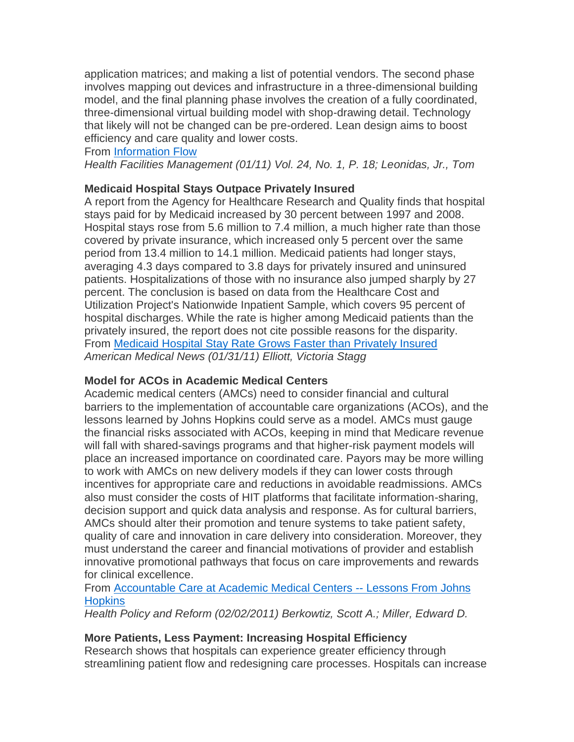application matrices; and making a list of potential vendors. The second phase involves mapping out devices and infrastructure in a three-dimensional building model, and the final planning phase involves the creation of a fully coordinated, three-dimensional virtual building model with shop-drawing detail. Technology that likely will not be changed can be pre-ordered. Lean design aims to boost efficiency and care quality and lower costs.

### From [Information Flow](http://www.mmsend53.com/link.cfm?r=284884120&sid=12166633&m=1225213&u=ACHE&s=http://www.hfmmagazine.com/hfmmagazine_app/jsp/articledisplay.jsp?dcrpath=HFMMAGAZINE/Article/data/01JAN2011/0111HFM_FEA_Technology&domain=HFMMAGAZINE)

*Health Facilities Management (01/11) Vol. 24, No. 1, P. 18; Leonidas, Jr., Tom*

## **Medicaid Hospital Stays Outpace Privately Insured**

A report from the Agency for Healthcare Research and Quality finds that hospital stays paid for by Medicaid increased by 30 percent between 1997 and 2008. Hospital stays rose from 5.6 million to 7.4 million, a much higher rate than those covered by private insurance, which increased only 5 percent over the same period from 13.4 million to 14.1 million. Medicaid patients had longer stays, averaging 4.3 days compared to 3.8 days for privately insured and uninsured patients. Hospitalizations of those with no insurance also jumped sharply by 27 percent. The conclusion is based on data from the Healthcare Cost and Utilization Project's Nationwide Inpatient Sample, which covers 95 percent of hospital discharges. While the rate is higher among Medicaid patients than the privately insured, the report does not cite possible reasons for the disparity. From [Medicaid Hospital Stay Rate Grows Faster than Privately Insured](http://www.mmsend53.com/link.cfm?r=284884120&sid=12342571&m=1238407&u=ACHE&s=http://www.ama-assn.org/amednews/2011/01/31/bise0203.htm) *American Medical News (01/31/11) Elliott, Victoria Stagg*

### **Model for ACOs in Academic Medical Centers**

Academic medical centers (AMCs) need to consider financial and cultural barriers to the implementation of accountable care organizations (ACOs), and the lessons learned by Johns Hopkins could serve as a model. AMCs must gauge the financial risks associated with ACOs, keeping in mind that Medicare revenue will fall with shared-savings programs and that higher-risk payment models will place an increased importance on coordinated care. Payors may be more willing to work with AMCs on new delivery models if they can lower costs through incentives for appropriate care and reductions in avoidable readmissions. AMCs also must consider the costs of HIT platforms that facilitate information-sharing, decision support and quick data analysis and response. As for cultural barriers, AMCs should alter their promotion and tenure systems to take patient safety, quality of care and innovation in care delivery into consideration. Moreover, they must understand the career and financial motivations of provider and establish innovative promotional pathways that focus on care improvements and rewards for clinical excellence.

### From [Accountable Care at Academic Medical Centers --](http://www.mmsend53.com/link.cfm?r=284884120&sid=12342563&m=1238407&u=ACHE&s=http://www.nejm.org/doi/full/10.1056/NEJMp1100076) Lessons From Johns **[Hopkins](http://www.mmsend53.com/link.cfm?r=284884120&sid=12342563&m=1238407&u=ACHE&s=http://www.nejm.org/doi/full/10.1056/NEJMp1100076)**

*Health Policy and Reform (02/02/2011) Berkowtiz, Scott A.; Miller, Edward D.*

## **More Patients, Less Payment: Increasing Hospital Efficiency**

Research shows that hospitals can experience greater efficiency through streamlining patient flow and redesigning care processes. Hospitals can increase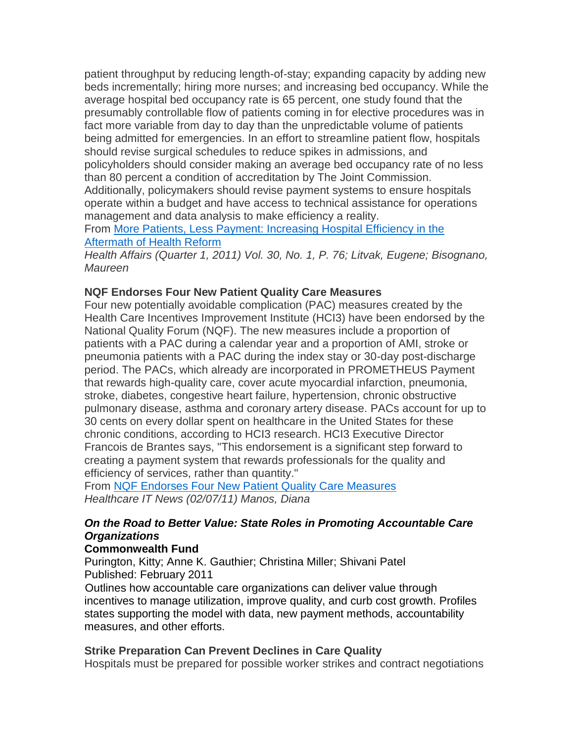patient throughput by reducing length-of-stay; expanding capacity by adding new beds incrementally; hiring more nurses; and increasing bed occupancy. While the average hospital bed occupancy rate is 65 percent, one study found that the presumably controllable flow of patients coming in for elective procedures was in fact more variable from day to day than the unpredictable volume of patients being admitted for emergencies. In an effort to streamline patient flow, hospitals should revise surgical schedules to reduce spikes in admissions, and policyholders should consider making an average bed occupancy rate of no less than 80 percent a condition of accreditation by The Joint Commission. Additionally, policymakers should revise payment systems to ensure hospitals operate within a budget and have access to technical assistance for operations management and data analysis to make efficiency a reality.

From [More Patients, Less Payment: Increasing Hospital Efficiency in the](http://www.mmsend53.com/link.cfm?r=284884120&sid=12166632&m=1225213&u=ACHE&s=http://content.healthaffairs.org/content/30/1/76)  [Aftermath of Health Reform](http://www.mmsend53.com/link.cfm?r=284884120&sid=12166632&m=1225213&u=ACHE&s=http://content.healthaffairs.org/content/30/1/76)

*Health Affairs (Quarter 1, 2011) Vol. 30, No. 1, P. 76; Litvak, Eugene; Bisognano, Maureen*

## **NQF Endorses Four New Patient Quality Care Measures**

Four new potentially avoidable complication (PAC) measures created by the Health Care Incentives Improvement Institute (HCI3) have been endorsed by the National Quality Forum (NQF). The new measures include a proportion of patients with a PAC during a calendar year and a proportion of AMI, stroke or pneumonia patients with a PAC during the index stay or 30-day post-discharge period. The PACs, which already are incorporated in PROMETHEUS Payment that rewards high-quality care, cover acute myocardial infarction, pneumonia, stroke, diabetes, congestive heart failure, hypertension, chronic obstructive pulmonary disease, asthma and coronary artery disease. PACs account for up to 30 cents on every dollar spent on healthcare in the United States for these chronic conditions, according to HCI3 research. HCI3 Executive Director Francois de Brantes says, "This endorsement is a significant step forward to creating a payment system that rewards professionals for the quality and efficiency of services, rather than quantity."

From NQF Endorses Four New [Patient Quality Care Measures](http://www.mmsend53.com/link.cfm?r=284884120&sid=12342568&m=1238407&u=ACHE&s=http://www.healthcareitnews.com/news/nqf-endorses-four-new-patient-quality-care-measures) *Healthcare IT News (02/07/11) Manos, Diana*

## *On the Road to Better Value: State Roles in Promoting Accountable Care Organizations*

### **Commonwealth Fund**

Purington, Kitty; Anne K. Gauthier; Christina Miller; Shivani Patel Published: February 2011

Outlines how accountable care organizations can deliver value through incentives to manage utilization, improve quality, and curb cost growth. Profiles states supporting the model with data, new payment methods, accountability measures, and other efforts.

### **Strike Preparation Can Prevent Declines in Care Quality**

Hospitals must be prepared for possible worker strikes and contract negotiations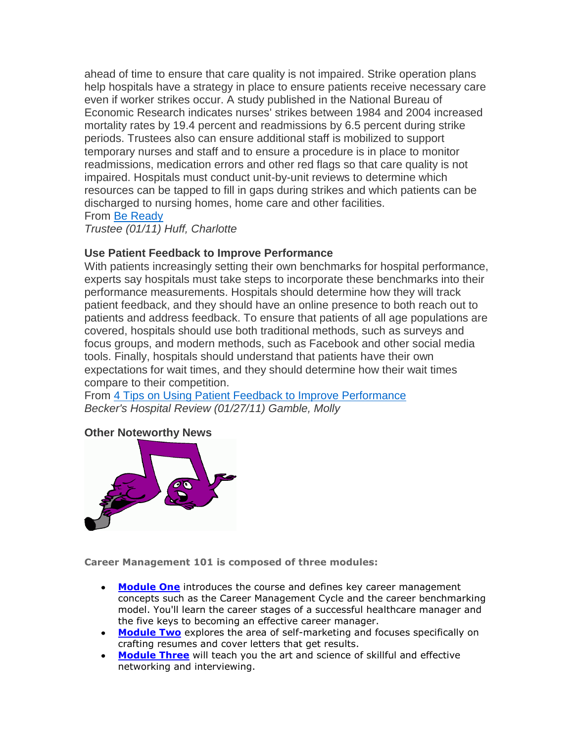ahead of time to ensure that care quality is not impaired. Strike operation plans help hospitals have a strategy in place to ensure patients receive necessary care even if worker strikes occur. A study published in the National Bureau of Economic Research indicates nurses' strikes between 1984 and 2004 increased mortality rates by 19.4 percent and readmissions by 6.5 percent during strike periods. Trustees also can ensure additional staff is mobilized to support temporary nurses and staff and to ensure a procedure is in place to monitor readmissions, medication errors and other red flags so that care quality is not impaired. Hospitals must conduct unit-by-unit reviews to determine which resources can be tapped to fill in gaps during strikes and which patients can be discharged to nursing homes, home care and other facilities.

From [Be Ready](http://www.mmsend53.com/link.cfm?r=284884120&sid=12166630&m=1225213&u=ACHE&s=http://www.trusteemag.com/trusteemag_app/jsp/articledisplay.jsp?dcrpath=TRUSTEEMAG/Article/data/01JAN2011/1101TRU_coverstory&domain=TRUSTEEMAG)

*Trustee (01/11) Huff, Charlotte*

### **Use Patient Feedback to Improve Performance**

With patients increasingly setting their own benchmarks for hospital performance, experts say hospitals must take steps to incorporate these benchmarks into their performance measurements. Hospitals should determine how they will track patient feedback, and they should have an online presence to both reach out to patients and address feedback. To ensure that patients of all age populations are covered, hospitals should use both traditional methods, such as surveys and focus groups, and modern methods, such as Facebook and other social media tools. Finally, hospitals should understand that patients have their own expectations for wait times, and they should determine how their wait times compare to their competition.

From [4 Tips on Using Patient Feedback to Improve Performance](http://www.mmsend53.com/link.cfm?r=284884120&sid=12166626&m=1225213&u=ACHE&s=http://www.beckershospitalreview.com/hospital-financial-and-business-news/4-tips-on-using-patient-feedback-to-improve-performance.html) *Becker's Hospital Review (01/27/11) Gamble, Molly*

#### **Other Noteworthy News**



**Career Management 101 is composed of three modules:**

- **[Module One](http://www.ache.org/newclub/CAREER/CareerMgmt101/Mod1/intro.cfm)** introduces the course and defines key career management concepts such as the Career Management Cycle and the career benchmarking model. You'll learn the career stages of a successful healthcare manager and the five keys to becoming an effective career manager.
- **[Module Two](http://www.ache.org/newclub/CAREER/CareerMgmt101/Mod2/intro.cfm)** explores the area of self-marketing and focuses specifically on crafting resumes and cover letters that get results.
- **[Module Three](http://www.ache.org/newclub/CAREER/CareerMgmt101/Mod3/intro.cfm)** will teach you the art and science of skillful and effective networking and interviewing.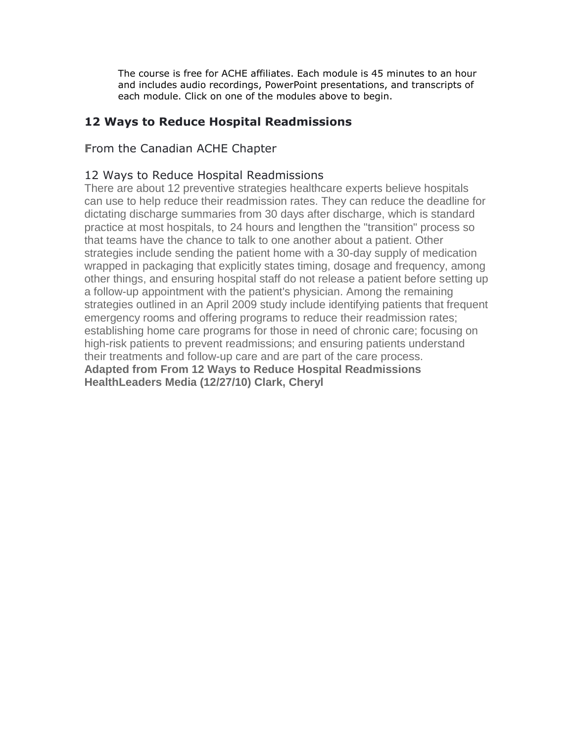The course is free for ACHE affiliates. Each module is 45 minutes to an hour and includes audio recordings, PowerPoint presentations, and transcripts of each module. Click on one of the modules above to begin.

## **12 Ways to Reduce Hospital Readmissions**

## **F**rom the Canadian ACHE Chapter

## 12 Ways to Reduce Hospital Readmissions

There are about 12 preventive strategies healthcare experts believe hospitals can use to help reduce their readmission rates. They can reduce the deadline for dictating discharge summaries from 30 days after discharge, which is standard practice at most hospitals, to 24 hours and lengthen the "transition" process so that teams have the chance to talk to one another about a patient. Other strategies include sending the patient home with a 30-day supply of medication wrapped in packaging that explicitly states timing, dosage and frequency, among other things, and ensuring hospital staff do not release a patient before setting up a follow-up appointment with the patient's physician. Among the remaining strategies outlined in an April 2009 study include identifying patients that frequent emergency rooms and offering programs to reduce their readmission rates; establishing home care programs for those in need of chronic care; focusing on high-risk patients to prevent readmissions; and ensuring patients understand their treatments and follow-up care and are part of the care process. **Adapted from From 12 Ways to Reduce Hospital Readmissions HealthLeaders Media (12/27/10) Clark, Cheryl**